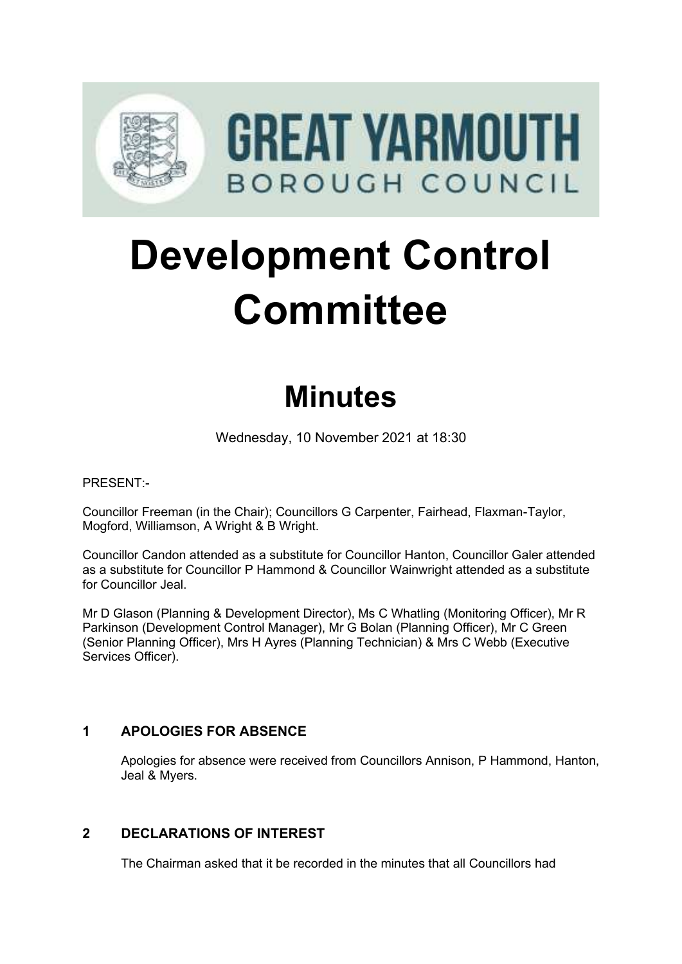

# **Development Control Committee**

# **Minutes**

Wednesday, 10 November 2021 at 18:30

PRESENT:-

Councillor Freeman (in the Chair); Councillors G Carpenter, Fairhead, Flaxman-Taylor, Mogford, Williamson, A Wright & B Wright.

Councillor Candon attended as a substitute for Councillor Hanton, Councillor Galer attended as a substitute for Councillor P Hammond & Councillor Wainwright attended as a substitute for Councillor Jeal.

Mr D Glason (Planning & Development Director), Ms C Whatling (Monitoring Officer), Mr R Parkinson (Development Control Manager), Mr G Bolan (Planning Officer), Mr C Green (Senior Planning Officer), Mrs H Ayres (Planning Technician) & Mrs C Webb (Executive Services Officer).

# **1 APOLOGIES FOR ABSENCE**

Apologies for absence were received from Councillors Annison, P Hammond, Hanton, Jeal & Myers.

# **2 DECLARATIONS OF INTEREST** 2

The Chairman asked that it be recorded in the minutes that all Councillors had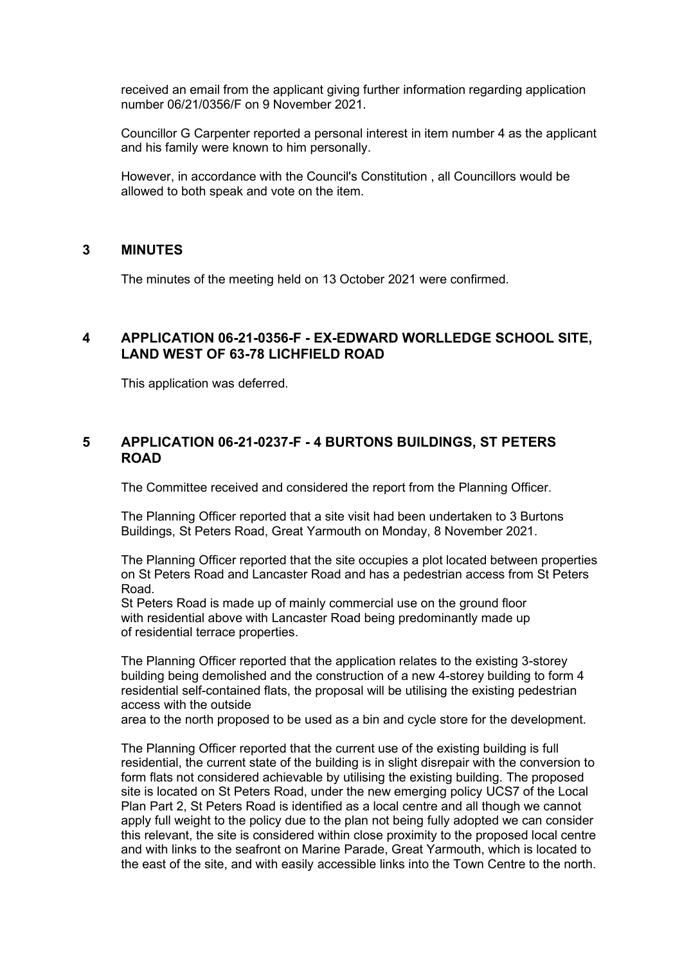received an email from the applicant giving further information regarding application number 06/21/0356/F on 9 November 2021.

Councillor G Carpenter reported a personal interest in item number 4 as the applicant and his family were known to him personally.

However, in accordance with the Council's Constitution , all Councillors would be allowed to both speak and vote on the item.

#### **3 MINUTES** 3

The minutes of the meeting held on 13 October 2021 were confirmed.

# **4 APPLICATION 06-21-0356-F - EX-EDWARD WORLLEDGE SCHOOL SITE, LAND WEST OF 63-78 LICHFIELD ROAD**

This application was deferred.

#### **5 APPLICATION 06-21-0237-F - 4 BURTONS BUILDINGS, ST PETERS ROAD**

The Committee received and considered the report from the Planning Officer.

The Planning Officer reported that a site visit had been undertaken to 3 Burtons Buildings, St Peters Road, Great Yarmouth on Monday, 8 November 2021.

The Planning Officer reported that the site occupies a plot located between properties on St Peters Road and Lancaster Road and has a pedestrian access from St Peters Road.

St Peters Road is made up of mainly commercial use on the ground floor with residential above with Lancaster Road being predominantly made up of residential terrace properties.

The Planning Officer reported that the application relates to the existing 3-storey building being demolished and the construction of a new 4-storey building to form 4 residential self-contained flats, the proposal will be utilising the existing pedestrian access with the outside

area to the north proposed to be used as a bin and cycle store for the development.

The Planning Officer reported that the current use of the existing building is full residential, the current state of the building is in slight disrepair with the conversion to form flats not considered achievable by utilising the existing building. The proposed site is located on St Peters Road, under the new emerging policy UCS7 of the Local Plan Part 2, St Peters Road is identified as a local centre and all though we cannot apply full weight to the policy due to the plan not being fully adopted we can consider this relevant, the site is considered within close proximity to the proposed local centre and with links to the seafront on Marine Parade, Great Yarmouth, which is located to the east of the site, and with easily accessible links into the Town Centre to the north.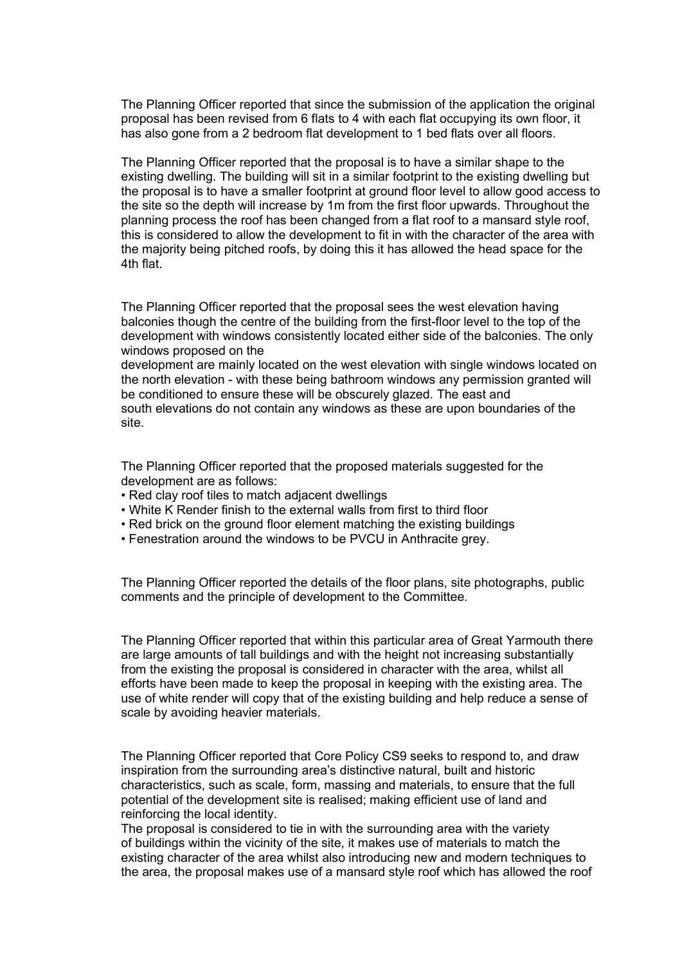The Planning Officer reported that since the submission of the application the original proposal has been revised from 6 flats to 4 with each flat occupying its own floor, it has also gone from a 2 bedroom flat development to 1 bed flats over all floors.

The Planning Officer reported that the proposal is to have a similar shape to the existing dwelling. The building will sit in a similar footprint to the existing dwelling but the proposal is to have a smaller footprint at ground floor level to allow good access to the site so the depth will increase by 1m from the first floor upwards. Throughout the planning process the roof has been changed from a flat roof to a mansard style roof, this is considered to allow the development to fit in with the character of the area with the majority being pitched roofs, by doing this it has allowed the head space for the 4th flat.

The Planning Officer reported that the proposal sees the west elevation having balconies though the centre of the building from the first-floor level to the top of the development with windows consistently located either side of the balconies. The only windows proposed on the

development are mainly located on the west elevation with single windows located on the north elevation - with these being bathroom windows any permission granted will be conditioned to ensure these will be obscurely glazed. The east and south elevations do not contain any windows as these are upon boundaries of the site.

The Planning Officer reported that the proposed materials suggested for the development are as follows:

- Red clay roof tiles to match adjacent dwellings
- White K Render finish to the external walls from first to third floor
- Red brick on the ground floor element matching the existing buildings
- Fenestration around the windows to be PVCU in Anthracite grey.

The Planning Officer reported the details of the floor plans, site photographs, public comments and the principle of development to the Committee.

The Planning Officer reported that within this particular area of Great Yarmouth there are large amounts of tall buildings and with the height not increasing substantially from the existing the proposal is considered in character with the area, whilst all efforts have been made to keep the proposal in keeping with the existing area. The use of white render will copy that of the existing building and help reduce a sense of scale by avoiding heavier materials.

The Planning Officer reported that Core Policy CS9 seeks to respond to, and draw inspiration from the surrounding area's distinctive natural, built and historic characteristics, such as scale, form, massing and materials, to ensure that the full potential of the development site is realised; making efficient use of land and reinforcing the local identity.

The proposal is considered to tie in with the surrounding area with the variety of buildings within the vicinity of the site, it makes use of materials to match the existing character of the area whilst also introducing new and modern techniques to the area, the proposal makes use of a mansard style roof which has allowed the roof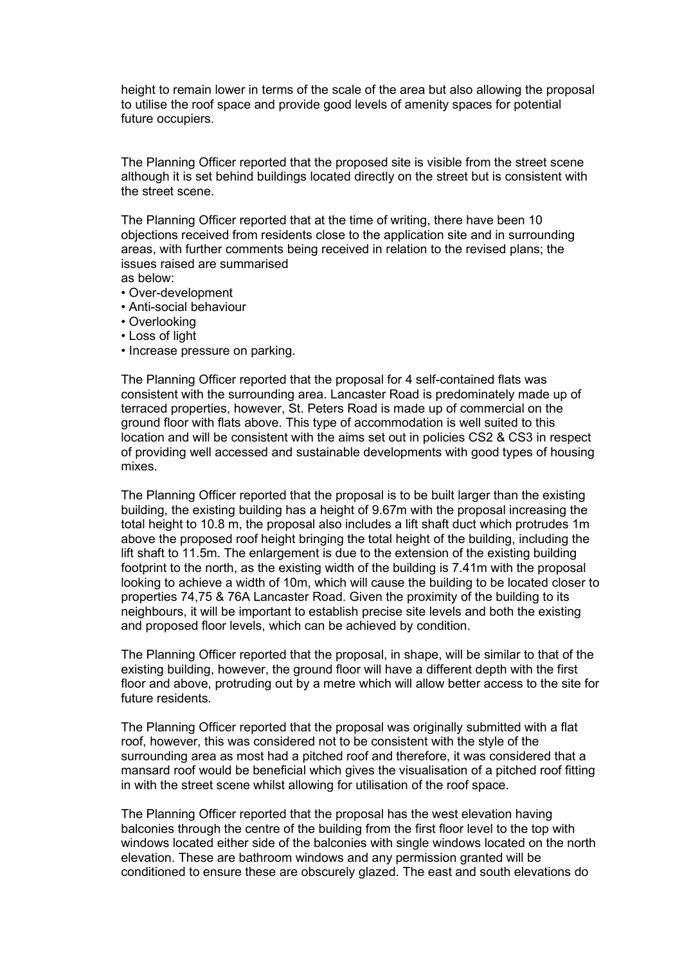height to remain lower in terms of the scale of the area but also allowing the proposal to utilise the roof space and provide good levels of amenity spaces for potential future occupiers.

The Planning Officer reported that the proposed site is visible from the street scene although it is set behind buildings located directly on the street but is consistent with the street scene.

The Planning Officer reported that at the time of writing, there have been 10 objections received from residents close to the application site and in surrounding areas, with further comments being received in relation to the revised plans; the issues raised are summarised as below:

- Over-development
- Anti-social behaviour
- Overlooking
- Loss of light
- Increase pressure on parking.

The Planning Officer reported that the proposal for 4 self-contained flats was consistent with the surrounding area. Lancaster Road is predominately made up of terraced properties, however, St. Peters Road is made up of commercial on the ground floor with flats above. This type of accommodation is well suited to this location and will be consistent with the aims set out in policies CS2 & CS3 in respect of providing well accessed and sustainable developments with good types of housing mixes.

The Planning Officer reported that the proposal is to be built larger than the existing building, the existing building has a height of 9.67m with the proposal increasing the total height to 10.8 m, the proposal also includes a lift shaft duct which protrudes 1m above the proposed roof height bringing the total height of the building, including the lift shaft to 11.5m. The enlargement is due to the extension of the existing building footprint to the north, as the existing width of the building is 7.41m with the proposal looking to achieve a width of 10m, which will cause the building to be located closer to properties 74,75 & 76A Lancaster Road. Given the proximity of the building to its neighbours, it will be important to establish precise site levels and both the existing and proposed floor levels, which can be achieved by condition.

The Planning Officer reported that the proposal, in shape, will be similar to that of the existing building, however, the ground floor will have a different depth with the first floor and above, protruding out by a metre which will allow better access to the site for future residents.

The Planning Officer reported that the proposal was originally submitted with a flat roof, however, this was considered not to be consistent with the style of the surrounding area as most had a pitched roof and therefore, it was considered that a mansard roof would be beneficial which gives the visualisation of a pitched roof fitting in with the street scene whilst allowing for utilisation of the roof space.

The Planning Officer reported that the proposal has the west elevation having balconies through the centre of the building from the first floor level to the top with windows located either side of the balconies with single windows located on the north elevation. These are bathroom windows and any permission granted will be conditioned to ensure these are obscurely glazed. The east and south elevations do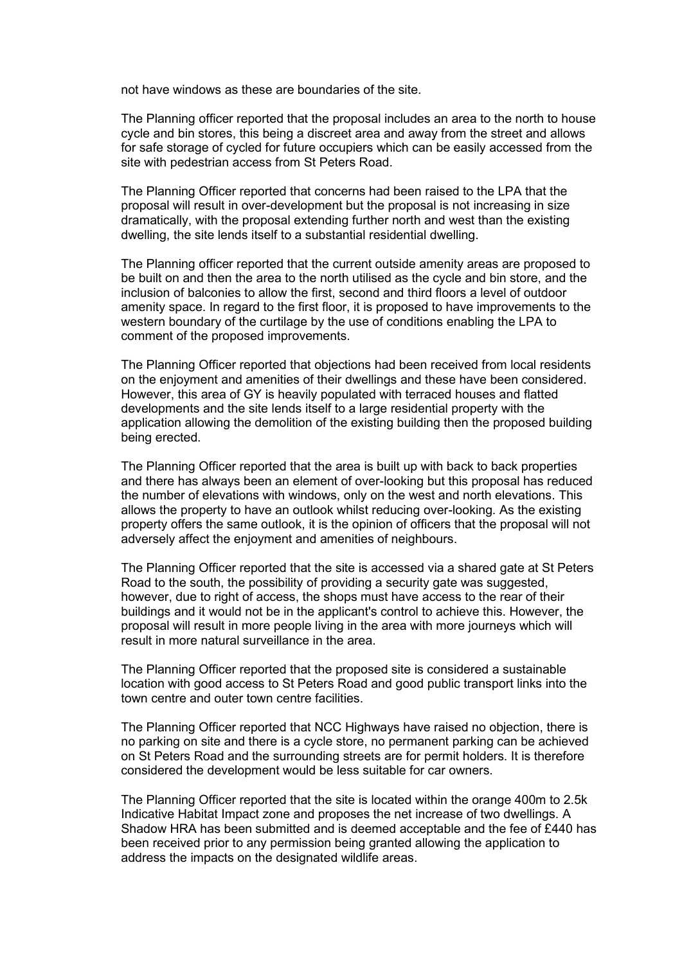not have windows as these are boundaries of the site.

The Planning officer reported that the proposal includes an area to the north to house cycle and bin stores, this being a discreet area and away from the street and allows for safe storage of cycled for future occupiers which can be easily accessed from the site with pedestrian access from St Peters Road.

The Planning Officer reported that concerns had been raised to the LPA that the proposal will result in over-development but the proposal is not increasing in size dramatically, with the proposal extending further north and west than the existing dwelling, the site lends itself to a substantial residential dwelling.

The Planning officer reported that the current outside amenity areas are proposed to be built on and then the area to the north utilised as the cycle and bin store, and the inclusion of balconies to allow the first, second and third floors a level of outdoor amenity space. In regard to the first floor, it is proposed to have improvements to the western boundary of the curtilage by the use of conditions enabling the LPA to comment of the proposed improvements.

The Planning Officer reported that objections had been received from local residents on the enjoyment and amenities of their dwellings and these have been considered. However, this area of GY is heavily populated with terraced houses and flatted developments and the site lends itself to a large residential property with the application allowing the demolition of the existing building then the proposed building being erected.

The Planning Officer reported that the area is built up with back to back properties and there has always been an element of over-looking but this proposal has reduced the number of elevations with windows, only on the west and north elevations. This allows the property to have an outlook whilst reducing over-looking. As the existing property offers the same outlook, it is the opinion of officers that the proposal will not adversely affect the enjoyment and amenities of neighbours.

The Planning Officer reported that the site is accessed via a shared gate at St Peters Road to the south, the possibility of providing a security gate was suggested, however, due to right of access, the shops must have access to the rear of their buildings and it would not be in the applicant's control to achieve this. However, the proposal will result in more people living in the area with more journeys which will result in more natural surveillance in the area.

The Planning Officer reported that the proposed site is considered a sustainable location with good access to St Peters Road and good public transport links into the town centre and outer town centre facilities.

The Planning Officer reported that NCC Highways have raised no objection, there is no parking on site and there is a cycle store, no permanent parking can be achieved on St Peters Road and the surrounding streets are for permit holders. It is therefore considered the development would be less suitable for car owners.

The Planning Officer reported that the site is located within the orange 400m to 2.5k Indicative Habitat Impact zone and proposes the net increase of two dwellings. A Shadow HRA has been submitted and is deemed acceptable and the fee of £440 has been received prior to any permission being granted allowing the application to address the impacts on the designated wildlife areas.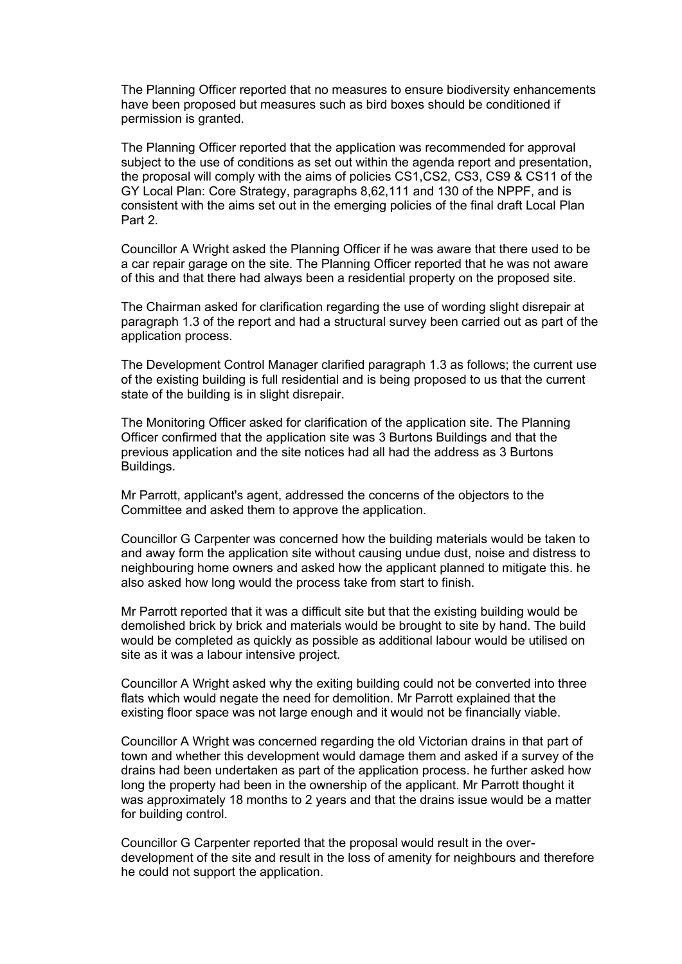The Planning Officer reported that no measures to ensure biodiversity enhancements have been proposed but measures such as bird boxes should be conditioned if permission is granted.

The Planning Officer reported that the application was recommended for approval subject to the use of conditions as set out within the agenda report and presentation, the proposal will comply with the aims of policies CS1,CS2, CS3, CS9 & CS11 of the GY Local Plan: Core Strategy, paragraphs 8,62,111 and 130 of the NPPF, and is consistent with the aims set out in the emerging policies of the final draft Local Plan Part 2.

Councillor A Wright asked the Planning Officer if he was aware that there used to be a car repair garage on the site. The Planning Officer reported that he was not aware of this and that there had always been a residential property on the proposed site.

The Chairman asked for clarification regarding the use of wording slight disrepair at paragraph 1.3 of the report and had a structural survey been carried out as part of the application process.

The Development Control Manager clarified paragraph 1.3 as follows; the current use of the existing building is full residential and is being proposed to us that the current state of the building is in slight disrepair.

The Monitoring Officer asked for clarification of the application site. The Planning Officer confirmed that the application site was 3 Burtons Buildings and that the previous application and the site notices had all had the address as 3 Burtons Buildings.

Mr Parrott, applicant's agent, addressed the concerns of the objectors to the Committee and asked them to approve the application.

Councillor G Carpenter was concerned how the building materials would be taken to and away form the application site without causing undue dust, noise and distress to neighbouring home owners and asked how the applicant planned to mitigate this. he also asked how long would the process take from start to finish.

Mr Parrott reported that it was a difficult site but that the existing building would be demolished brick by brick and materials would be brought to site by hand. The build would be completed as quickly as possible as additional labour would be utilised on site as it was a labour intensive project.

Councillor A Wright asked why the exiting building could not be converted into three flats which would negate the need for demolition. Mr Parrott explained that the existing floor space was not large enough and it would not be financially viable.

Councillor A Wright was concerned regarding the old Victorian drains in that part of town and whether this development would damage them and asked if a survey of the drains had been undertaken as part of the application process. he further asked how long the property had been in the ownership of the applicant. Mr Parrott thought it was approximately 18 months to 2 years and that the drains issue would be a matter for building control.

Councillor G Carpenter reported that the proposal would result in the overdevelopment of the site and result in the loss of amenity for neighbours and therefore he could not support the application.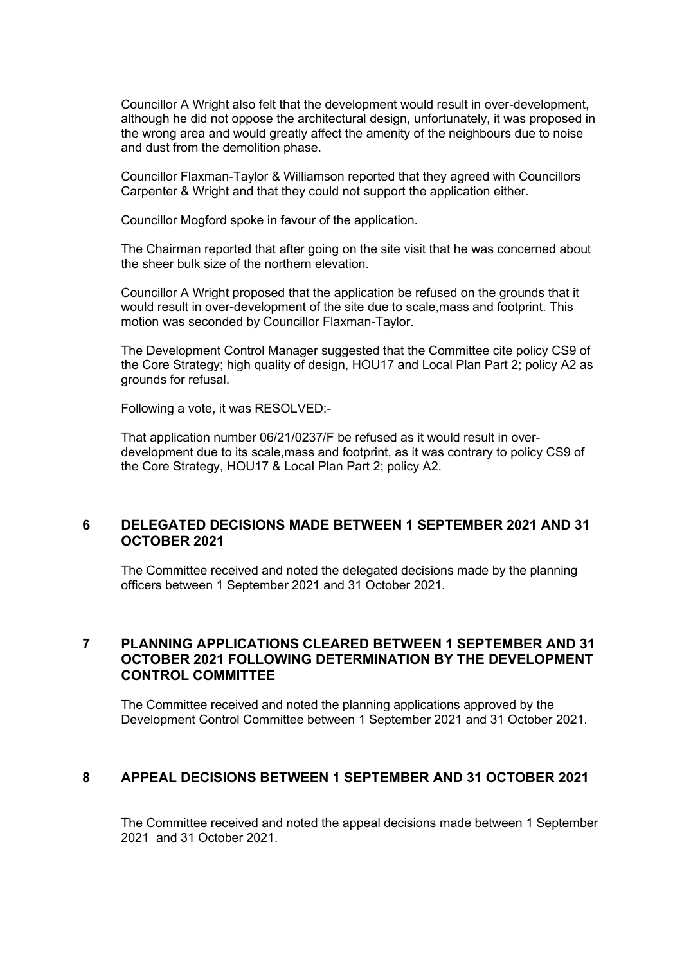Councillor A Wright also felt that the development would result in over-development, although he did not oppose the architectural design, unfortunately, it was proposed in the wrong area and would greatly affect the amenity of the neighbours due to noise and dust from the demolition phase.

Councillor Flaxman-Taylor & Williamson reported that they agreed with Councillors Carpenter & Wright and that they could not support the application either.

Councillor Mogford spoke in favour of the application.

The Chairman reported that after going on the site visit that he was concerned about the sheer bulk size of the northern elevation.

Councillor A Wright proposed that the application be refused on the grounds that it would result in over-development of the site due to scale,mass and footprint. This motion was seconded by Councillor Flaxman-Taylor.

The Development Control Manager suggested that the Committee cite policy CS9 of the Core Strategy; high quality of design, HOU17 and Local Plan Part 2; policy A2 as grounds for refusal.

Following a vote, it was RESOLVED:-

That application number 06/21/0237/F be refused as it would result in overdevelopment due to its scale,mass and footprint, as it was contrary to policy CS9 of the Core Strategy, HOU17 & Local Plan Part 2; policy A2.

#### **6 DELEGATED DECISIONS MADE BETWEEN 1 SEPTEMBER 2021 AND 31 OCTOBER 2021**

The Committee received and noted the delegated decisions made by the planning officers between 1 September 2021 and 31 October 2021.

# **7 PLANNING APPLICATIONS CLEARED BETWEEN 1 SEPTEMBER AND 31 OCTOBER 2021 FOLLOWING DETERMINATION BY THE DEVELOPMENT CONTROL COMMITTEE** 7

The Committee received and noted the planning applications approved by the Development Control Committee between 1 September 2021 and 31 October 2021.

# **8 APPEAL DECISIONS BETWEEN 1 SEPTEMBER AND 31 OCTOBER 2021**

The Committee received and noted the appeal decisions made between 1 September 2021 and 31 October 2021.